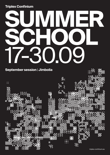### **Triplex Confinium**

# **SUMMER SCHOOL** 17-30.09

### **September session** | **Jimbolia**

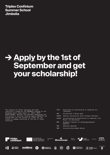**Triplex Confinium Summer School Jimbolia**

## **[Apply](https://form.123formbuilder.com/5980372/triplex-confinium-summer-school-application-form) by the 1st of September and get your scholarship!**

The creation of these resources has been (partially) funded by the ERASMUS+ program of the European Union under grant no. 2019-1-RO01- KA203-063881. Neither the European Commission nor the project's national funding agency ANPCDEFP are responsible for the content or liable for any losses or damage resulting of the use of these resources.

| <b>FAUT</b>  | Facultatea de Arhitectură și Urbanism din<br>Timisoara                |
|--------------|-----------------------------------------------------------------------|
| <b>UNS</b>   | Univerzitet U Novom Sadu                                              |
| <b>SUSKO</b> | Sofiiski Universitet Sveti Kliment Ohridski                           |
| <b>UAUIM</b> | Universitatea de Arhitectură și Urbanism "Ion<br>Mincu" din Bucuresti |
| <b>BME</b>   | Budapesti Muszaki Es Gazdasagtudomanyi<br>Egyetem                     |
| <b>DEB</b>   | Debrecen Egyetem                                                      |
| <b>UBB</b>   | Universitatea Babes Bolyai                                            |





Supported by

















喜



Media<br>partner



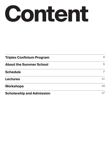

| <b>Triplex Confinium Program</b> | 4              |
|----------------------------------|----------------|
| <b>About the Summer School</b>   | 5              |
| <b>Schedule</b>                  | $\overline{7}$ |
| <b>Lectures</b>                  | 11             |
| <b>Workshops</b>                 | 14             |
| <b>Scholarship and Admission</b> | 17             |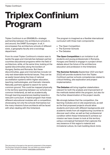# **Triplex Confinium Program**

Triplex Confinium is an ERASMUS+ strategic partnership between the architecture schools in, and around, the DKMT Euroregion. In all, it encompases five architecture schools of different sizes, a geography faculty and a sociology department.

From its onset Triplex Confinium's mission was to tackle the gaps and mismatches between partner countries educational programs within the field of architecture, while, at the same time, looking at the spatial discontinuities along the borders of Hungary, Serbia and Romania. But these discontinuities, gaps and mismatches include not only real observable territorial issues. They can be as easily traced along the lines of national accreditation systems within higher education, teaching methodologies, and thematic interests. Naturally, partners agreed to search for some common ground. This could be mapped physically, in the territory spanning between our schools (our common hinterland), as well as academically, through learning experiences leading towards a new joint curriculum. A hybrid program that mixes different educational modules with a competition, showcasing not only the schools themselves but the many missions future architects will be faced with when dealing with this hinterland.

The program is imagined as a flexible international curriculum with three main components:

- The Open Competition
- The Summer Schools
- The Debates

**The Open Competition** is an invitation to all students and young professionals in Romania, Hungary and Serbia to engage in a project driven debate about the future of the architecture education and profession in the hinterland.

**The Summer Schools** (September 2021 and April 2022) will provide students from the Triplex Confinium partner schools competencies related to critical thinking, site exploration and project implementation.

**The Debates** will bring together stakeholders relevant for both the analysis and improvement of the methods tested within the program, but also for the further dissemination of the project results.

We strongly believe that the competition, the learning modules and on site experiences, as well as the final proposed projects should allow students and tutors with different backgrounds and academic levels from all neighbouring countries to discover each other, as well as their professional condition within these hinterlands.To achieve our mission we have chosen to look at this territory using a conceptual framework that captures the very essence of this region's material and immaterial culture, its main building block: brick.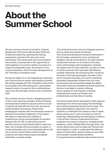# **About the Summer School**

The two summer schools to be held in Jimbolia (September 2021) and in Kikinda (April 2022) are fundamental learning, teaching and training experiences, placed at the very core of our partnership. They will provide tutors and students from partner countries with a first opportunity to work together in a common setting, focusing on a unique and dedicated topic: the research of our common baukultur, and the further development of the Think Brick competition brief.

During two weeks of on site experiences, field trips, and common lecture series, participating students will actively engage with the competition site and its surrounding area, while taking part in specialised research teams, focused on the multidisciplinary topics that will ultimately enhance the competition brief.

The Jimbolia summer school is designed around 2 of the 3 main teaching modules, (*Critical Thinking* and *Exploration*) while the second summer school in Kikinda will deal with the third one, focused on *Implementation* procedures. These three pedagogical modules offer the necessary means to approach the problem statement of the project the need to understand and redefine a multinational cultural area alongside the borders between RO, HU, RS. as well as the need for learners (future young professionals) to overcome their role of simple service providers for public or private enterprises and more frequently take on the role of active critical thinkers that formulate problems and help initiate projects alongside authorities or private bodies.

The Jimbolia Summer school is designed around a lecture series and several workshops. The *critical and theoretical framework* presented in the fisrt week, prepared by tutors and keynote speakers, will set up the basis for the field research module with lectures on the history of the area, urban anthropology, field investigation methods, and digital tools for data collection, but also on links to similar practices that have been identified as possible references. By introducing this module as the base of the learning program, we take a clear stance towards education as a tool for preparing generalist independent thinkers that can more productively and successfully engage the digital information flood and available technical resources, that are more likely to sustain a lifelong preoccupation for learning and constantly assessing their impact as thinkers and professionals and members of society.

The second week will be dedicated to field research workshops that will test and apply the knowledge and methods presented during the first week. This *Exploration Module* responds to the need for students to understand the research area in-depth before acting upon it and is focused on tools for exploring, understanding and describing conditions in the territory. Partners understand that each profession has areas of interest or, metaphorically speaking, certain visibility filters through which only certain phenomena can be observed. Partners will work together in order to understand the different nature of these filters, specific biases of each field and possible complementary situations. It is expected that architecture will provide tools for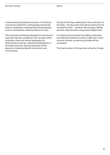understanding the physical structure of a territory, community, settlement; anthropology will provide tools for qualitative understanding and geography tools for quantitative understanding of an area.

The immersive workshops designed for the second week will map the competition site, its place within Jimbolia's urban and natural geography, its phenomena as well as material manifestations of all scales and sizes. Special emphasis will be placed on collaborating with local actors and communities.

During its final days, dedicated to the production of the Atlas - the document that will be enhancing the competition brief - students will compare, debate and edit collected data using several digital tools.

It is highly recommended that willing contenders and selected students are able to take part in both summer schools, as learning activities will be correlated.

The total duration of the summer-school is 14 days.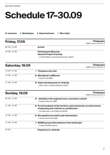#### Summer School

# **Schedule 17–30.09**

| <b>Friday, 17.09</b> |                                                                                                                 | <b>Timisoara</b><br>FABER, Peneș Curcanul 4-5 |
|----------------------|-----------------------------------------------------------------------------------------------------------------|-----------------------------------------------|
| $09:00 - 18:00$      | <b>Arrival</b>                                                                                                  |                                               |
| $18:00 - 21:00$      | <b>Participants Welcome</b><br><b>General Project Framing</b><br>- Cristian Blidariu and Oana Simionescu (FAUT) |                                               |
| Saturday, 18.09      |                                                                                                                 | <b>Timișoara</b><br>FABER, Peneș Curcanul 4-5 |
| $10:00 - 13:00$      | Timișoara city visit                                                                                            |                                               |
| $15:00 - 17:00$      | <b>Why Banat is different</b><br>- Rudolf Gräf (UBB)                                                            |                                               |
| $17:00 - 19:00$      | <b>Urban development of Jimbolia</b><br>- Mihai Danciu, Ștefana Bădescu (FAUT)                                  |                                               |
| <b>Sunday, 19.09</b> |                                                                                                                 | <b>Timișoara</b><br>FABER, Peneș Curcanul 4-5 |
| $09:00 - 11:00$      | Jimbolia in the regional socio-economic context<br>- Norbert Petrovici (UBB)                                    |                                               |
| $11:00 - 13:00$      | Formal analysis of the territory: grid and border as instruments<br>of planning and criticism in architecture   |                                               |

|                 | - Irina Băncescu, Alex Belenyi (UAUIM)       |
|-----------------|----------------------------------------------|
| $15:00 - 17:00$ | • Recognition by small scale intervention    |
|                 | - Tamas Szentirmai (DEB)                     |
| $17:00 - 19:00$ | • SIGMA group interventions in the landscape |
|                 | - Andreea Palade Flondor                     |
| 20:00           | <b>Departure to Jimbolia</b>                 |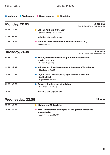**C** Lectures **C** Workshops **C** Guest lectures **C** Site visits

| <b>Monday, 20.09</b> | <b>Jimbolia</b><br>Casa de Cultură, Tudor Vladimirescu 88 |
|----------------------|-----------------------------------------------------------|
| $09:00 - 15:00$      | <b>Official Jimbolia &amp; Site visit</b>                 |
|                      | - guided by Sergiu Petru Dema                             |
| $17:00 - 20:00$      | Individual site explorations                              |
| $17:00 - 19:00$      | Jimbolia and its cultural networks & stories (TBC)        |
|                      | - Marcel Tolcea                                           |

| <b>Tuesday, 21.09</b> | <b>Jimbolia</b><br>Casa de Cultură, Tudor Vladimirescu 88                                       |
|-----------------------|-------------------------------------------------------------------------------------------------|
| $09:00 - 11:00$       | History drawn in the landscape-border imprints and<br>how to read them<br>- Gergely Sági (BME)  |
| $11:00 - 13:00$       | Industry and Town Development. Changes of Paradigms<br>- Irina Tulbure (UAUIM)                  |
| $15:00 - 17:00$       | Digital brick: Contemporary approaches in working<br>with the Brick<br>- Bojan Tepavcevic (UNS) |
| $17:00 - 19:00$       | Brick - a timeless way of building<br>- Ioan Andreescu (FAUT)                                   |
| 19:00                 | Individual site explorations                                                                    |

### **Wednesday, 22.09**

| $09:00 - 18:00$ | Kikinda and Mako visits                                                           |
|-----------------|-----------------------------------------------------------------------------------|
| $20:00-22:00$   | $\bullet$ KDK – Intervention strategies for the german hinterland<br>(case-study) |
|                 | - Judith Sandmeier (BLFDP)                                                        |

**Kikinda**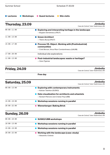| <b>Summer School</b> |                  | <b>Schedule 17-30.09</b>                                                                                                       |                                                           |
|----------------------|------------------|--------------------------------------------------------------------------------------------------------------------------------|-----------------------------------------------------------|
| <b>Lectures</b>      | <b>Workshops</b> | <b>Guest lectures</b><br><b>Site visits</b>                                                                                    |                                                           |
|                      | Thursday, 23.09  |                                                                                                                                | <b>Jimbolia</b><br>Casa de Cultură, Tudor Vladimirescu 88 |
| $09:00 - 11:00$      |                  | <b>Exploring and interpreting heritage in the landscape</b><br>- Bogdan Demetrescu (FAUT)                                      |                                                           |
| $11:00 - 13:00$      |                  | <b>Green Architect</b><br>- Tiberiu Bucșa (FAUT)                                                                               |                                                           |
| $15:00 - 17:00$      |                  | <b>Process VS. Object. Working with (Postindustrial)</b><br>communities<br>- Cristi Borcan, Ilinca Păun Constantinescu (UAUIM) |                                                           |
| $17:00 - 20:00$      |                  | Individual site explorations                                                                                                   |                                                           |
| $11:00 - 13:00$      |                  | Post-industrial landscapes: waste or heritage?<br>- Oana Tiganea                                                               |                                                           |
| <b>Friday, 24.09</b> |                  |                                                                                                                                | <b>Jimbolia</b><br>Casa de Cultură, Tudor Vladimirescu 88 |
|                      |                  | <b>Free day</b>                                                                                                                |                                                           |
| Saturday, 25.09      |                  |                                                                                                                                | <b>Jimbolia</b><br>Casa de Cultură, Tudor Vladimirescu 88 |
| $09:00 - 13:00$      |                  | <b>Exploring with contemporary instruments</b><br>- Kaloian Tsetvkov (SUSKO)                                                   |                                                           |
|                      |                  | Data visualization for architects and urbanists<br>- Norbert Petrovici and Cristian Pop (UBB)                                  |                                                           |
| $15:00 - 19:00$      |                  | Workshop sessions running in parallel                                                                                          |                                                           |
| $20:00 - 22:00$      |                  | <b>Wienerberger: Baking Brick</b>                                                                                              |                                                           |
| <b>Sunday, 26.09</b> |                  |                                                                                                                                | <b>Jimbolia</b><br>Casa de Cultură, Tudor Vladimirescu 88 |
| $09:00 - 10:00$      |                  | <b>SUSKO/UBB workshops</b>                                                                                                     |                                                           |
| $10:00 - 13:00$      |                  | Workshop sessions running in parallel                                                                                          |                                                           |
| $15:00 - 19:00$      |                  | Workshop sessions running in parallel                                                                                          |                                                           |
| $20:00 - 22:00$      |                  | Working with the landscape (case-study)<br>- Alexandru Ciobota                                                                 |                                                           |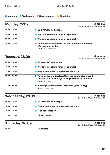**C** Lectures **C** Workshops **C** Guest lectures **C** Site visits

| <b>Monday, 27.09</b> | <b>Jimbolia</b><br>Casa de Cultură, Tudor Vladimirescu 88                                                    |
|----------------------|--------------------------------------------------------------------------------------------------------------|
| $0.99:00 - 10:00$    | ● SUSKO/UBB workshops                                                                                        |
| $10:00 - 13:00$      | Workshop sessions running in parallel                                                                        |
| $15:00 - 19:00$      | Workshop sessions running in parallel                                                                        |
| $20:00-22:00$        | Architectural heritage of the brick factories (summary<br>of a doctoral thesis)<br>- Péter Kronavetter (BME) |

| <b>Tuesday, 28.09</b> | <b>Jimbolia</b><br>Casa de Cultură, Tudor Vladimirescu 88                                                                          |
|-----------------------|------------------------------------------------------------------------------------------------------------------------------------|
| $09:00 - 10:00$       | <b>SUSKO/UBB workshops</b>                                                                                                         |
| $10:00 - 13:00$       | Workshop sessions running in parallel                                                                                              |
| $15:00 - 19:00$       | Preparing the workshop results materials                                                                                           |
| $20:00 - 21:00$       | Recollective architecture. Common tendencies around<br>the wide field of heritage basing on the PACE initiative<br>- Levente Szabó |
| $21:00-22:00$         | Working with the cultural landscape (case-study)<br>- Zsolt Vasaros (BME)                                                          |

| <b>Wednesday, 29.09</b> |                                          | <b>Jimbolia</b><br>Casa de Cultură, Tudor Vladimirescu 88 |
|-------------------------|------------------------------------------|-----------------------------------------------------------|
| $0.99:00 - 10:00$       | SUSKO/UBB workshops                      |                                                           |
| $10:00 - 13:00$         | Preparing the workshop results materials |                                                           |
| $15:00 - 19:00$         | <b>Final presentation</b>                |                                                           |
| $19:00 - 22:00$         | <b>Closing Party</b>                     |                                                           |

### **Thursday, 30.09**

**Jimbolia** Casa de Cultură, Tudor Vladimirescu 88

09:00

**Departure**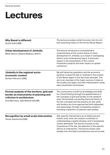# **Lectures**

| <b>Why Banat is different</b><br>Rudolf Gräf (UBB)                                                                                                       | The lecture provides a brief incursion into the rich<br>and surprising history of the former Banat Region.                                                                                                                                                                                                                                                                                                                 |
|----------------------------------------------------------------------------------------------------------------------------------------------------------|----------------------------------------------------------------------------------------------------------------------------------------------------------------------------------------------------------------------------------------------------------------------------------------------------------------------------------------------------------------------------------------------------------------------------|
| Urban development of Jimbolia<br>Mihai Danciu, Ștefana Bădescu (FAUT)                                                                                    | The lecture introduces a comprehensive<br>understanding of the current status of urban<br>development in Jimbolia, as a result of overlapping<br>historic and contemporary layers. A particular<br>aspect is the presentation of the current<br>investment projects and their impact on spatial<br>coherence.                                                                                                              |
| Jimbolia in the regional socio-<br>economic context<br>Norbert Petrovici (UBB)                                                                           | We will follow the population and the economic<br>dynamic to draw the fate of Jimbolia in the context<br>of the Banat region in the last three decades. The<br>aim is an overview of the major sources of data on<br>the locality and region and their interpretation using<br>data visualization techniques.                                                                                                              |
| Formal analysis of the territory: grid and<br>border as instruments of planning and<br>criticism in architecture<br>Irina Băncescu, Alex Belenyi (UAUIM) | The course aims to build up knowledge and skills<br>for critical thinking through the applied theory of<br>the concepts of grid and border on the research<br>area. Permanently connecting theory & history of<br>the two concepts and the practice on site, grids<br>and borders are to be approached both separately<br>and associated, through comparative research,<br>including a selection of relevant case studies. |
| <b>Recognition by small scale intervention</b><br>Tamas Szentirmai (DEB)                                                                                 | Site-specific interventions as architectural and<br>artistic tools. How can creation contribute to<br>understanding a spatial situation and to emphasize<br>certain attributes? The lecture focuses on the<br>importance of the site, the selection of the specific<br>site for an intervention. The lecture shows case<br>studies from the field of architecture and art as well.                                         |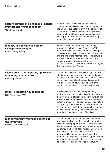| History drawn in the landscape - border<br>imprints and how to read them<br>Gergely Sági (BME)       | With the help of the ancient maps and very<br>contemporary tools (like satellite pictures) we could<br>easily find all our history drawn in the structure of<br>our cities and the surrounding landscape. If we<br>know how to read these imprints we could add a<br>very important new tool for our research. People<br>forget - landscape remains.                                                                                                                                                                       |
|------------------------------------------------------------------------------------------------------|----------------------------------------------------------------------------------------------------------------------------------------------------------------------------------------------------------------------------------------------------------------------------------------------------------------------------------------------------------------------------------------------------------------------------------------------------------------------------------------------------------------------------|
| <b>Industry and Town Development.</b><br><b>Changes of Paradigms</b><br>Irina Tulbure (UAUIM)        | It is well known that Jimbolia's brick factory<br>represented a trademark of Banat in the 19th<br>century and also a relevant sample of the larger<br>phenomena of private industrialization that lasted<br>until the end of the interwar period. The lecture is<br>mainly focused on the transformations of the<br>industrial areas in relation with the town<br>development due to the new economic strategies<br>that marked post war Romania.                                                                          |
| <b>Digital brick: Contemporary approaches</b><br>in working with the Brick<br>Bojan Tepavcevic (UNS) | The lecture Digital Brick will give insight into the<br>latest approaches in design and construction of<br>buildings with brick and clay. In this lecture, various<br>examples of innovative design and construction<br>with brick will show how we can re-think brick<br>design in our build environment in a novel way.                                                                                                                                                                                                  |
| Brick - a timeless way of building<br>Ioan Andreescu (FAUT)                                          | While looking at and considering the many<br>applications of brick as a building block enabling<br>the development of architectural language, during<br>the lecture students will be transported through<br>historical time as well as geographical and cultural<br>space, using critical discourse and hermeneutics.<br>The lecture will shed light not only on the physical<br>but also on the metaphysical qualities of this<br>material and its timeless way of building.                                              |
| <b>Exploring and interpreting heritage in</b><br>the landscape<br>Bogdan Demetrescu (FAUT)           | The lecture aims to present the evolution of the<br>territory of the Banat region, seen by the way in<br>which the hydrographic system was the basis for<br>the development of the existing infrastructure and<br>built fund. The built heritage must be understood<br>from the way it adapted to the natural or<br>anthropized landscape and how it used the<br>resources of the place. Jimbolia is a great example<br>to illustrate these relationships and how they can<br>be rediscovered and developed in the future. |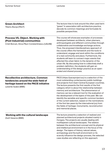| <b>Green Architect</b><br>Tiberiu Bucșa (FAUT)                                                                                                  | The lecture tries to look around the often used term<br>"green" in association with architecture practice,<br>decode its common meanings and formulate its<br>possible perspectives.                                                                                                                                                                                                                                                                                                                                                                                                                                                                                                                                    |
|-------------------------------------------------------------------------------------------------------------------------------------------------|-------------------------------------------------------------------------------------------------------------------------------------------------------------------------------------------------------------------------------------------------------------------------------------------------------------------------------------------------------------------------------------------------------------------------------------------------------------------------------------------------------------------------------------------------------------------------------------------------------------------------------------------------------------------------------------------------------------------------|
| <b>Process VS. Object. Working with</b><br>(Post Industrial) communities<br>Cristi Borcan, Ilinca Păun Constantinescu (UAUIM)                   | The course will showcase examples of processes<br>developed between architects, urban planners,<br>anthropologists and different communities through<br>collaborative and knowledge exchange actions.<br>Thus, the proposed interdisciplinary approach of<br>the course offers the framework and the tools to<br>understand, engage and work within the conditions<br>of a real community and place. Furthermore, the<br>students will learn to connect major events that<br>affected the urban fabric to the dynamic of the<br>urban life. By discussing how to collectively draft a<br>problem definition, the students will gain an<br>understanding of the design practice as an open-<br>ended and shared process. |
| <b>Recollective architecture, Common</b><br>tendencies around the wide field of<br>heritage based on the PACE initiative<br>Levente Szabó (BME) | PACE (https://paceproject.eu) is a selection of the<br>most outstanding contemporary public buildings<br>and projects from East-Central European countries.<br>The lecture presents the first results of the first<br>category which is about the relationship between<br>memory and architecture. The phenomenon of<br>memory can be a relevant tool for the evaluation of<br>the development of the layers of the past. We can<br>identify the sensible and specific common borders<br>of the current selection, based on the nominations<br>of the first two years by the international jury from<br>the fields of heritage: monuments, reconstruction<br>and memorial places.                                       |
| Working with the cultural landscape<br>Zsolt Vasaros (BME)                                                                                      | The lecture presents a selection of realized and<br>planned architectural projects situated mainly in<br>Hungary. The projects are usually dealing with<br>multilayered cultural landscapes. The relation<br>between the architectural concept and its physical<br>and intellectual environment is in the focus of the<br>design. The layers of history, natural values,<br>archaeology and the built environment or its<br>scarcity influence the design process, the selected<br>case studies are reflecting on this approach.                                                                                                                                                                                        |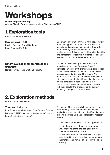# **Workshops**

#### **Overall program steering**

Cristian Blidariu, Bogdan Isopescu, Oana Simionescu (FAUT)

### **1. Exploration tools**

Max. 15 students/workshop

| <b>Exploring with GIS</b><br>Kaloian Tsetvkov, Georgi Bardarov,<br>Petar Stoianov (SUSKO)      | Geographic Information System (GIS) allows for any<br>amount or type of information to be linked to a<br>spatial coordinate, on a map opening the way to<br>complex analysis with both quantitative and<br>qualitative data. This workshop will provide the skills<br>and competences required in order to proficiently<br>use the GIS tool for territorial exploration.                                                                                                                                                                                                   |
|------------------------------------------------------------------------------------------------|----------------------------------------------------------------------------------------------------------------------------------------------------------------------------------------------------------------------------------------------------------------------------------------------------------------------------------------------------------------------------------------------------------------------------------------------------------------------------------------------------------------------------------------------------------------------------|
| Data visualization for architects and<br>urbanists<br>Norbert Petrovici and Cristian Pop (UBB) | The aim of the workshop is to introduce the<br>attendees to tools like Tableau or PowerBI, to<br>generate static (for print) or interactive (online) data<br>driven presentations. Official records are used to<br>make sense of Jimbolia and the region. We<br>address how an architect, or an urbanist can infer<br>information about the inhabitants of a place based<br>on publicly available data. In addition, the<br>instructors will assist the participants in working<br>with their data for the proposal for the contest<br>unfolding during the summer school. |

### **2. Exploration methods**

Max. 6 students/workshop

#### **Town and industry**

Irina Tulbure, Irina Băncescu, Cristi Borcan, Cristian Bădescu (UAUIM), Alexandru Belenyi (guest), Ilinca Păun Constantinescu (quest)

The scope of the exercise is to understand how the brick industry (with its presence and absence) marked the urban evolution and the life of Jimbolia, by using a participative and collaborative research method.

The exercise will combine 2 different approaches:

- an intuitive approach, based on a personal understanding of the site using subjective, creative, and sensible criteria;
- a scientific approach that will make use of preestablished formal criteria, in order to point out the material and immaterial traces of the brick industry.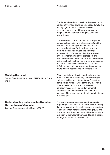|                                                                                                             | The data gathered on-site will be displayed on two<br>collaborative maps standing on opposed walls, that<br>will highlight both the duality of the two<br>perspectives, and two different images of a<br>tangible Jimbolia and an intangible, sensible,<br>symbolic one.                                                                                                                                                                                                                                                                                                                                              |
|-------------------------------------------------------------------------------------------------------------|-----------------------------------------------------------------------------------------------------------------------------------------------------------------------------------------------------------------------------------------------------------------------------------------------------------------------------------------------------------------------------------------------------------------------------------------------------------------------------------------------------------------------------------------------------------------------------------------------------------------------|
|                                                                                                             | The method of confronting the intuitive approach<br>(genuine observation and interpretation) and the<br>scientific approach (guided field research and<br>analysis) aims to put forth the importance of<br>creating a balance between the personal<br>understanding of a site and the objective and<br>universal instruments of the profession. The<br>exercise stresses students to position themselves<br>both as subjective observers and as professionals<br>and learn how to collectively draft a problem<br>definition that could stand as a starting point for<br>future flexible approaches on Jimbolia town. |
| <b>Walking the canal</b><br>Tamás Szentirmai, János Vági, Miklós János Boros<br>(DEB)                       | We will get to know the city together by walking<br>around the canal surrounding it and carrying out<br>various activities and interventions. This active<br>participation reveals layers of the city that would<br>otherwise not be known, and many new<br>perspectives as well. This kind of personal,<br>intensive site exploration is essential for the<br>success of interventions, whether in architecture or<br>the visual arts.                                                                                                                                                                               |
| Understanding water as a tool forming<br>the heritage of Jimbolia<br>Bogdan Demetrescu, Mihai Danciu (FAUT) | The workshop proposes an objective analysis<br>regarding the evolution of the territory surrounding<br>Jimbolia, as part of a larger landscape of significant<br>relation between water and land. Using QGIS and<br>drone surveys, the participants will understand the<br>evolution of the water streams and lakes, a natural<br>heritage in relation to the built one.                                                                                                                                                                                                                                              |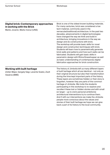| <b>Digital brick: Contemporary approaches</b><br>in working with the Brick<br>Marko Jovanić, Marko Vučuć (UNS) | Brick is one of the oldest known building materials.<br>For many centuries, brick was considered a low<br>tech material, commonly used in the<br>vernacular(traditional) architecture. In the past two<br>decades, advancements in digital technologies<br>have changed the way we think and build in<br>architecture, bringing innovations in the way we<br>design and do constructions with brick.<br>The workshop will provide basic skills for novel<br>design and construction techniques with brick.<br>Students will learn how to parametrically generate<br>brick walls and patterns and how such walls can be<br>fabricated. Students will gain basic skills in<br>parametric design with Rhino/Grasshopper as well<br>as basic understanding of contemporary digital<br>fabrication approaches for brick construction. |
|----------------------------------------------------------------------------------------------------------------|----------------------------------------------------------------------------------------------------------------------------------------------------------------------------------------------------------------------------------------------------------------------------------------------------------------------------------------------------------------------------------------------------------------------------------------------------------------------------------------------------------------------------------------------------------------------------------------------------------------------------------------------------------------------------------------------------------------------------------------------------------------------------------------------------------------------------------|
| <b>Working with built heritage</b><br>Zoltán Major, Gergely Sági, Levente Szabó, Zsolt<br>Vasáros (BME)        | The history of Jimbolia left us many different layers<br>of built heritage which all are identical - not only as<br>their original structure but also their transformation<br>during the time kept important parts of the history.<br>These layers are sometimes hidden or their story is<br>forgotten, however they are parts of the common<br>heritage of Jimbolia. We invite the students<br>participating in this workshop to re-explore and<br>recollect these lost or hidden stories and with small<br>(or larger - up to one's personal ambitions)<br>architectural interventions try to continue them.<br>And if with our interventions we make the Jimbolia<br>people more conscious about the values and<br>stories of their built heritage we hope we can give<br>back a part of its history to the local community.  |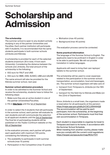# **Scholarship and Admission**

#### **The scholarship**

The summer school is open to any student actively studying in any of the partner Universities and Faculties. Each partner institution will participate with 4 students. It is recommended that the same students participate in both summer schools (Jimbolia and Kikinda).

A scholarship is provided for each of the selected students (maximum 28 in total, 4 from each University). Considering the distance between the schools and Jimbolia, the total amount of the scholarship is the following:

- 832 euro for FAUT and UNS
- 932 euro for BME, DEB, SUSKO, UBB and UAUIM

The same amount will also be provided for the Kikinda summer school, next year.

#### **Summer school admission procedure**

In order to be admitted to the Summer School and receive the scholarship, students have to follow the following steps:

- 1. Make sure they are an active student in one of the partner Universities/Faculties.
- 2. Fill-in **[this form](https://form.123formbuilder.com/5980372/triplex-confinium-summer-school-application-form)** until the 1st of September.

In order to select the 4 students that will participate in the summer school, each partner will evaluate its own students and will communicate the selection to all applicant students until the 3rd of September. The final list of participating students will be published on the Triplex Confinium website on the 6th of September.

In the evaluation process, each partner will grade each application with maximum 100 points, considering the following criteria:

- The availability to participate in both summer schools (max 10 points)
- Participation in the Competition (max 10 points)
- Motivation (max 40 points)
- Background (max 40 points)

*The evaluation process cannot be contested.*

#### **Some practical information**

The language of the Summer School is English. The applicants need to be proficient in English in order to be able to participate. We will not provide translation in native languages.

Applicants will need to bring their own laptops/ tablets to the summer school.

The scholarship will be used to cover expenses related to the participation in the summer school: transportation, accomodation, food and beverages, etc. The summer school organisers will take care of:

- transport from Timișoara to Jimbolia (on the 19th of September)
- transport for the field trip to Kikinda and Mako (on the 22nd of September)

Since Jimbolia is a small town, the organisers made a reservation for all participants at this pension: <https://maps.app.goo.gl/aAu2rC3CLU5tHHHQ9> The accommodation will be paid by each participant, from the scholarship, at the beginning of the summer school. Participants must find their own accommodation in Timișoara.

Each student is responsible to organise its travel to Timișoara and back to its home, in accordance with the Summer School Schedule.

When traveling from another country, please make sure you comply with the current covid regulations: [https://reopen.europa.eu/en/map/ROU/7011](https://reopen.europa.eu/en/map/ROU/7011,)